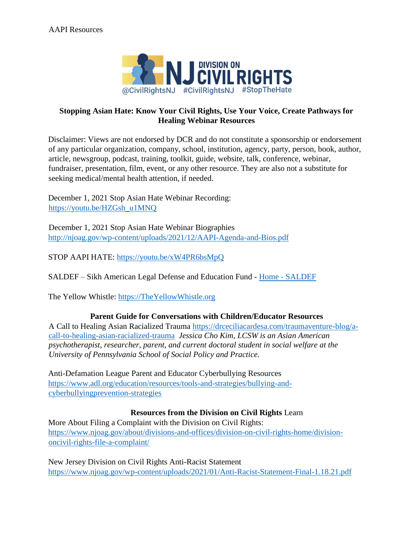

# **Stopping Asian Hate: Know Your Civil Rights, Use Your Voice, Create Pathways for Healing Webinar Resources**

Disclaimer: Views are not endorsed by DCR and do not constitute a sponsorship or endorsement of any particular organization, company, school, institution, agency, party, person, book, author, article, newsgroup, podcast, training, toolkit, guide, website, talk, conference, webinar, fundraiser, presentation, film, event, or any other resource. They are also not a substitute for seeking medical/mental health attention, if needed.

December 1, 2021 Stop Asian Hate Webinar Recording: [https://youtu.be/HZGsh\\_u1MNQ](https://youtu.be/HZGsh_u1MNQ)

December 1, 2021 Stop Asian Hate Webinar Biographies <http://njoag.gov/wp-content/uploads/2021/12/AAPI-Agenda-and-Bios.pdf>

STOP AAPI HATE:<https://youtu.be/xW4PR6bsMpQ>

SALDEF – Sikh American Legal Defense and Education Fund [-](https://saldef.org/) [Home -](https://saldef.org/) [SALDEF](https://saldef.org/)

The Yellow Whistle: [https://TheYellowWhistle.org](https://theyellowwhistle.org/)

### **Parent Guide for Conversations with Children/Educator Resources**

A Call to Healing Asian Racialized Trauma [https://drceciliacardesa.com/traumaventure-blog/a](https://drceciliacardesa.com/traumaventure-blog/a-call-to-healing-asian-racialized-trauma)[call-to-healing-asian-racialized-trauma](https://drceciliacardesa.com/traumaventure-blog/a-call-to-healing-asian-racialized-trauma) *Jessica Cho Kim, LCSW is an Asian American psychotherapist, researcher, parent, and current doctoral student in social welfare at the University of Pennsylvania School of Social Policy and Practice.* 

Anti-Defamation League Parent and Educator Cyberbullying Resources [https://www.adl.org/education/resources/tools-and-strategies/bullying-and](https://www.adl.org/education/resources/tools-and-strategies/bullying-and-cyberbullying-prevention-strategies)[cyberbullyingprevention-strategies](https://www.adl.org/education/resources/tools-and-strategies/bullying-and-cyberbullying-prevention-strategies)

### **Resources from the Division on Civil Rights** Learn

More About Filing a Complaint with the Division on Civil Rights: [https://www.njoag.gov/about/divisions-and-offices/division-on-civil-rights-home/division](https://www.njoag.gov/about/divisions-and-offices/division-on-civil-rights-home/division-on-civil-rights-file-a-complaint/)[oncivil-rights-file-a-complaint/](https://www.njoag.gov/about/divisions-and-offices/division-on-civil-rights-home/division-on-civil-rights-file-a-complaint/)

New Jersey Division on Civil Rights Anti-Racist Statement <https://www.njoag.gov/wp-content/uploads/2021/01/Anti-Racist-Statement-Final-1.18.21.pdf>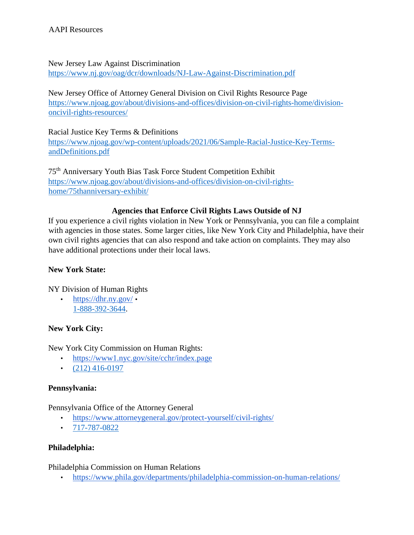New Jersey Law Against Discrimination <https://www.nj.gov/oag/dcr/downloads/NJ-Law-Against-Discrimination.pdf>

New Jersey Office of Attorney General Division on Civil Rights Resource Page [https://www.njoag.gov/about/divisions-and-offices/division-on-civil-rights-home/division](https://www.njoag.gov/about/divisions-and-offices/division-on-civil-rights-home/division-on-civil-rights-resources/)[oncivil-rights-resources/](https://www.njoag.gov/about/divisions-and-offices/division-on-civil-rights-home/division-on-civil-rights-resources/)

Racial Justice Key Terms & Definitions [https://www.njoag.gov/wp-content/uploads/2021/06/Sample-Racial-Justice-Key-Terms](https://www.njoag.gov/wp-content/uploads/2021/06/Sample-Racial-Justice-Key-Terms-and-Definitions.pdf)[andDefinitions.pdf](https://www.njoag.gov/wp-content/uploads/2021/06/Sample-Racial-Justice-Key-Terms-and-Definitions.pdf)

75th Anniversary Youth Bias Task Force Student Competition Exhibit [https://www.njoag.gov/about/divisions-and-offices/division-on-civil-rights](https://www.njoag.gov/about/divisions-and-offices/division-on-civil-rights-home/75th-anniversary-exhibit/)[home/75thanniversary-exhibit/](https://www.njoag.gov/about/divisions-and-offices/division-on-civil-rights-home/75th-anniversary-exhibit/)

## **Agencies that Enforce Civil Rights Laws Outside of NJ**

If you experience a civil rights violation in New York or Pennsylvania, you can file a complaint with agencies in those states. Some larger cities, like New York City and Philadelphia, have their own civil rights agencies that can also respond and take action on complaints. They may also have additional protections under their local laws.

## **New York State:**

NY Division of Human Rights

• [https://dhr.ny.gov/](https://urldefense.com/v3/__https:/dhr.ny.gov/__;!!J30X0ZrnC1oQtbA!czC4h4efp70Ud9P8bfcvdDSxiq3j3KXp_zN9zn12RWH7hSE6addJdBhM0Es0fCYYgcrSu8eW4QNBdVE6$) • 1-888-392-3644.

# **New York City:**

New York City Commission on Human Rights:

- [https://www1.nyc.gov/site/cchr/index.page](https://urldefense.com/v3/__https:/www1.nyc.gov/site/cchr/index.page__;!!J30X0ZrnC1oQtbA!czC4h4efp70Ud9P8bfcvdDSxiq3j3KXp_zN9zn12RWH7hSE6addJdBhM0Es0fCYYgcrSu8eW4f2MuVB6$)
- $\cdot$  (212) 416-0197

### **Pennsylvania:**

### Pennsylvania Office of the Attorney General

- [https://www.attorneygeneral.gov/protect-yourself/civil-rights/](https://urldefense.com/v3/__https:/www.attorneygeneral.gov/protect-yourself/civil-rights/__;!!J30X0ZrnC1oQtbA!czC4h4efp70Ud9P8bfcvdDSxiq3j3KXp_zN9zn12RWH7hSE6addJdBhM0Es0fCYYgcrSu8eW4RWZ1-d9$)
- $\cdot$  717-787-0822

# **Philadelphia:**

Philadelphia Commission on Human Relations

• [https://www.phila.gov/departments/philadelphia-commission-on-human-relations/](https://urldefense.com/v3/__https:/www.phila.gov/departments/philadelphia-commission-on-human-relations/__;!!J30X0ZrnC1oQtbA!czC4h4efp70Ud9P8bfcvdDSxiq3j3KXp_zN9zn12RWH7hSE6addJdBhM0Es0fCYYgcrSu8eW4T1Q5Re7$)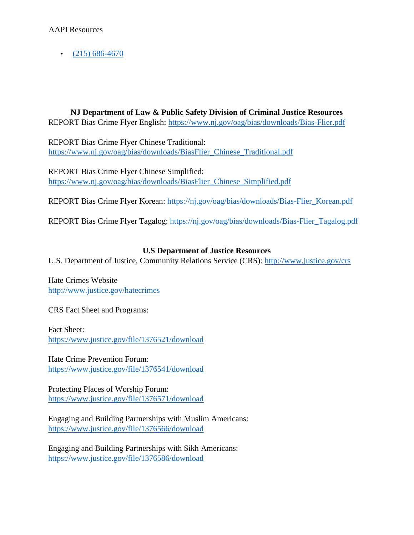$\cdot$  (215) 686-4670

**NJ Department of Law & Public Safety Division of Criminal Justice Resources** 

REPORT Bias Crime Flyer English:<https://www.nj.gov/oag/bias/downloads/Bias-Flier.pdf>

REPORT Bias Crime Flyer Chinese Traditional: [https://www.nj.gov/oag/bias/downloads/BiasFlier\\_Chinese\\_Traditional.pdf](https://www.nj.gov/oag/bias/downloads/Bias-Flier_Chinese_Traditional.pdf)

REPORT Bias Crime Flyer Chinese Simplified: [https://www.nj.gov/oag/bias/downloads/BiasFlier\\_Chinese\\_Simplified.pdf](https://www.nj.gov/oag/bias/downloads/Bias-Flier_Chinese_Simplified.pdf)

REPORT Bias Crime Flyer Korean: [https://nj.gov/oag/bias/downloads/Bias-Flier\\_Korean.pdf](https://nj.gov/oag/bias/downloads/Bias-Flier_Korean.pdf)

REPORT Bias Crime Flyer Tagalog: [https://nj.gov/oag/bias/downloads/Bias-Flier\\_Tagalog.pdf](https://nj.gov/oag/bias/downloads/Bias-Flier_Tagalog.pdf)

# **U.S Department of Justice Resources**

U.S. Department of Justice, Community Relations Service (CRS): [http://www.justice.gov/crs](https://urldefense.com/v3/__http:/www.justice.gov/crs__;!!J30X0ZrnC1oQtbA!bbyPBDs8twWI3E5LuCfBJxnz1VVWJ9ufYuCuevMcefMiYjcD_0juvrGAQQ8uplhxf058vbgDhsMlvQOs$)

Hate Crimes Website [http://www.justice.gov/hatecrimes](https://urldefense.com/v3/__http:/www.justice.gov/hatecrimes__;!!J30X0ZrnC1oQtbA!bbyPBDs8twWI3E5LuCfBJxnz1VVWJ9ufYuCuevMcefMiYjcD_0juvrGAQQ8uplhxf058vbgDhnXG94sv$)

CRS Fact Sheet and Programs:

Fact Sheet: [https://www.justice.gov/file/1376521/download](https://urldefense.com/v3/__https:/www.justice.gov/file/1376521/download__;!!J30X0ZrnC1oQtbA!bbyPBDs8twWI3E5LuCfBJxnz1VVWJ9ufYuCuevMcefMiYjcD_0juvrGAQQ8uplhxf058vbgDhpSXOxQI$)

Hate Crime Prevention Forum: [https://www.justice.gov/file/1376541/download](https://urldefense.com/v3/__https:/www.justice.gov/file/1376541/download__;!!J30X0ZrnC1oQtbA!bbyPBDs8twWI3E5LuCfBJxnz1VVWJ9ufYuCuevMcefMiYjcD_0juvrGAQQ8uplhxf058vbgDhiDnF2EC$)

Protecting Places of Worship Forum: [https://www.justice.gov/file/1376571/download](https://urldefense.com/v3/__https:/www.justice.gov/file/1376571/download__;!!J30X0ZrnC1oQtbA!bbyPBDs8twWI3E5LuCfBJxnz1VVWJ9ufYuCuevMcefMiYjcD_0juvrGAQQ8uplhxf058vbgDhgfaId9w$)

Engaging and Building Partnerships with Muslim Americans: [https://www.justice.gov/file/1376566/download](https://urldefense.com/v3/__https:/www.justice.gov/file/1376566/download__;!!J30X0ZrnC1oQtbA!bbyPBDs8twWI3E5LuCfBJxnz1VVWJ9ufYuCuevMcefMiYjcD_0juvrGAQQ8uplhxf058vbgDhmaznf4w$)

Engaging and Building Partnerships with Sikh Americans: [https://www.justice.gov/file/1376586/download](https://urldefense.com/v3/__https:/www.justice.gov/file/1376586/download__;!!J30X0ZrnC1oQtbA!bbyPBDs8twWI3E5LuCfBJxnz1VVWJ9ufYuCuevMcefMiYjcD_0juvrGAQQ8uplhxf058vbgDhjOR_fZL$)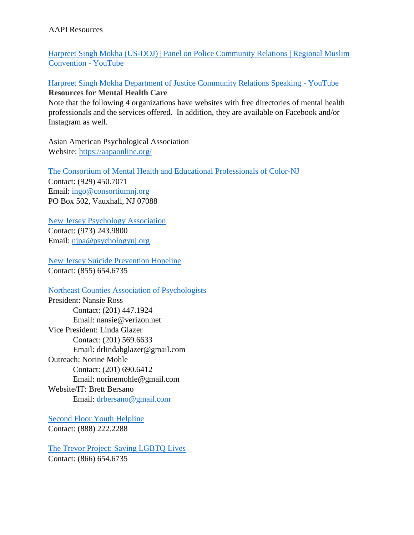[Harpreet Singh](https://www.youtube.com/watch?v=8cP0LyccXKc) Mokha (U[S-DOJ\) | Panel on Police Community Relations | Regional Muslim](https://www.youtube.com/watch?v=8cP0LyccXKc) [Convention -](https://www.youtube.com/watch?v=8cP0LyccXKc) [YouTube](https://www.youtube.com/watch?v=8cP0LyccXKc)

[Harpreet Singh Mokha Department of Justice Community Relations Speaking -](https://www.youtube.com/watch?v=aGDtkaZmVdA) [YouTube](https://www.youtube.com/watch?v=aGDtkaZmVdA) **Resources for Mental Health Care** 

Note that the following 4 organizations have websites with free directories of mental health professionals and the services offered. In addition, they are available on Facebook and/or Instagram as well.

Asian American Psychological Association Website:<https://aapaonline.org/>

[The Consortium of](https://consortiumnj.org/) [Mental Health](https://consortiumnj.org/) [and Educational](https://consortiumnj.org/) [Professionals of Color-NJ](https://consortiumnj.org/) Contact: (929) 450.7071 Email: ingo@consortiumnj.org PO Box 502, Vauxhall, NJ 07088

[New Jersey Psychology Association](https://www.psychologynj.org/) Contact: (973) 243.9800 Email: njpa@psychologynj.org

[New Jersey Suicide Prevention Hopeline](http://www.njhopeline.com/) Contact: (855) 654.6735

[Northeast Counties Association of Psychologists](https://northeastnjpsychassoc.org/)

President: Nansie Ross Contact: (201) 447.1924 Email: nansie@verizon.net Vice President: Linda Glazer Contact: (201) 569.6633 Email: drlindabglazer@gmail.com Outreach: Norine Mohle Contact: (201) 690.6412 Email: norinemohle@gmail.com Website/IT: Brett Bersano Email: drbersano@gmail.com

[Second Floor Youth Helpline](http://www.2ndfloor.org/) Contact: (888) 222.2288

[The Trevor Project: Saving LGBTQ Lives](http://www.thetrevorproject.org/) Contact: (866) 654.6735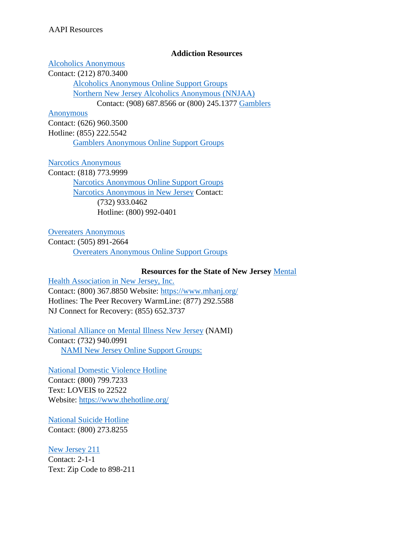## **Addiction Resources**

### [Alcoholics Anonymous](https://aa.org/)

Contact: (212) 870.3400

[Alcoholics Anonymous Online Support Groups](https://aa-intergroup.org/) [Northern New Jersey Alcoholics Anonymous \(NNJAA\)](https://www.nnjaa.org/) Contact: (908) 687.8566 or (800) 245.1377 [Gamblers](https://www.gamblersanonymous.org/ga/) 

### [Anonymous](https://www.gamblersanonymous.org/ga/)

Contact: (626) 960.3500 Hotline: (855) 222.5542 [Gamblers Anonymous Online Support Groups](https://area12ga.com/)

## [Narcotics Anonymous](https://na.org/)

Contact: (818) 773.9999 [Narcotics Anonymous Online Support Groups](https://virtual-na.org/meetings/) [Narcotics Anonymous in New Jersey](https://nanj.org/) Contact: (732) 933.0462 Hotline: (800) 992-0401

[Overeaters Anonymous](https://oa.org/)

Contact: (505) 891-2664 [Overeaters Anonymous Online Support Groups](https://oa.org/find-a-meeting/?type=1)

# **Resources for the State of New Jersey** [Mental](https://www.mhanj.org/)

[Health Association in New Jersey, Inc.](https://www.mhanj.org/) Contact: (800) 367.8850 Website:<https://www.mhanj.org/> Hotlines: The Peer Recovery WarmLine: (877) 292.5588 NJ Connect for Recovery: (855) 652.3737

[National Alliance on Mental Illness New Jersey](https://www.naminj.org/online-support-groups/) (NAMI)

Contact: (732) 940.0991 [NAMI New Jersey Online Support Groups:](http://www.naminj.org/online-support-groups/)

[National Domestic Violence Hotline](https://www.thehotline.org/) Contact: (800) 799.7233 Text: LOVEIS to 22522 Website:<https://www.thehotline.org/>

[National Suicide Hotline](https://suicidepreventionlifeline.org/) Contact: (800) 273.8255

[New Jersey 211](https://www.nj211.org/) Contact: 2-1-1 Text: Zip Code to 898-211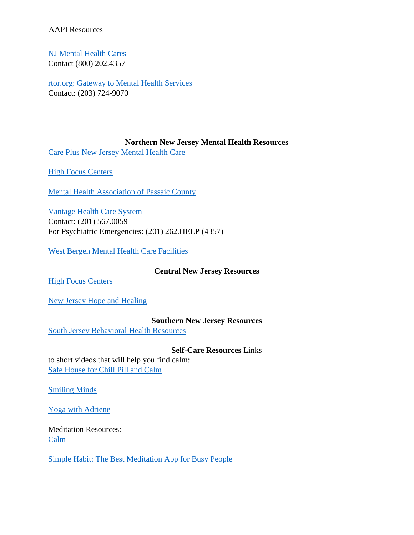[NJ Mental Health Cares](https://www.njmentalhealthcares.org/) Contact (800) 202.4357

[rtor.org: Gateway to Mental Health Services](http://rtor.org/) Contact: (203) 724-9070

#### **Northern New Jersey Mental Health Resources**

[Care Plus New Jersey Mental Health Care](https://careplusnj.org/) 

**High Focus Centers** 

[Mental Health Association of Passaic County](https://mhapassaic.org/) 

[Vantage Health Care System](https://vantagenj.org/)  Contact: (201) 567.0059 For Psychiatric Emergencies: (201) 262.HELP (4357)

[West Bergen Mental Health Care Facilities](https://westbergen.org/) 

**Central New Jersey Resources** 

**[High Focus Centers](https://highfocuscenters.pyramidhealthcarepa.com/)** 

[New Jersey Hope and Healing](https://www.mhanj.org/njhope/)

#### **Southern New Jersey Resources**

[South Jersey Behavioral Health Resources](https://sjbhr.org/PublicPages/Home.aspx) 

#### **Self-Care Resources** Links

to short videos that will help you find calm: [Safe House for Chill Pill and Calm](https://www.youtube.com/watch?v=F5X5oVmTyOM)

[Smiling Minds](https://www.youtube.com/user/SmilingMindTV)

[Yoga with Adriene](https://www.youtube.com/user/yogawithadriene)

Meditation Resources: [Calm](https://www.calm.com/)

[Simple Habit: The Best Meditation App for Busy People](https://www.simplehabit.com/)